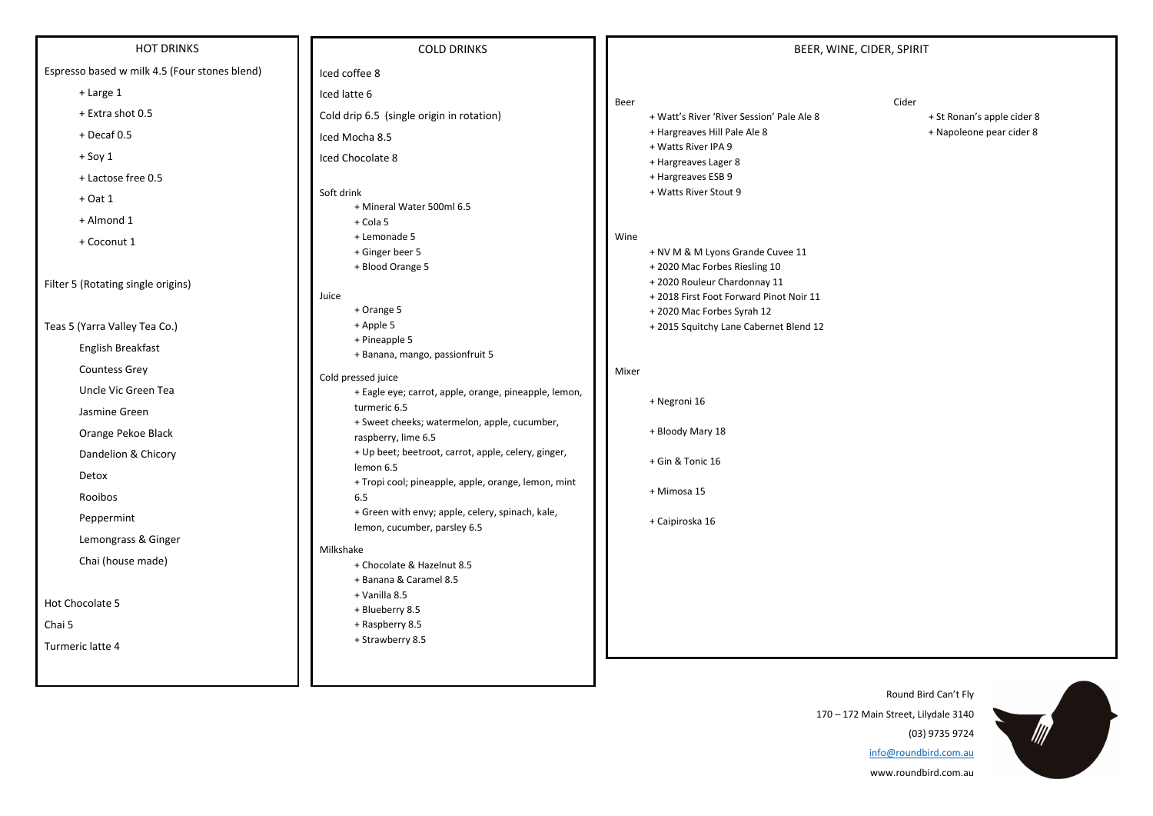## HOT DRINKS

Espresso based w milk 4.5 (Four stones blend)

- + Large 1
- + Extra shot 0.5
- + Decaf 0.5
- + Soy 1
- + Lactose free 0.5
- + Oat 1
- + Almond 1
- + Coconut 1

Filter 5 (Rotating single origins)

Teas 5 (Yarra Valley Tea Co.) English Breakfast Countess Grey Uncle Vic Green Tea Jasmine Green Orange Pekoe Black Dandelion & Chicory Detox Rooibos Peppermint Lemongrass & Ginger Chai (house made) Hot Chocolate 5 Chai 5 Turmeric latte 4

COLD DRINKS

- Iced coffee 8 Iced latte 6 Cold drip 6.5 (single origin in rotation) Iced Mocha 8.5 Iced Chocolate 8
- Soft drink + Mineral Water 500ml 6.5 + Cola 5
	- + Lemonade 5
	- + Ginger beer 5
	- + Blood Orange 5

### Juice

- + Watt's River 'River Session' Pale Ale 8 + St Ronan's apple cider 8
- + Hargreaves Hill Pale Ale 8 + Napoleone pear cider 8
- + Watts River IPA 9
- + Hargreaves Lager 8
- + Hargreaves ESB 9
- + Watts River Stout 9

- + Orange 5
- + Apple 5
- + Pineapple 5
- + Banana, mango, passionfruit 5
- Cold pressed juice
	- + Eagle eye; carrot, apple, orange, pineapple, lemon, turmeric 6.5
	- + Sweet cheeks; watermelon, apple, cucumber, raspberry, lime 6.5
	- + Up beet; beetroot, carrot, apple, celery, ginger, lemon 6.5
	- + Tropi cool; pineapple, apple, orange, lemon, mint 6.5
	- + Green with envy; apple, celery, spinach, kale, lemon, cucumber, parsley 6.5

### Milkshake

- + Chocolate & Hazelnut 8.5
- + Banana & Caramel 8.5
- + Vanilla 8.5
- + Blueberry 8.5
- + Raspberry 8.5
- + Strawberry 8.5

## Wine

- + NV M & M Lyons Grande Cuvee 11
- + 2020 Mac Forbes Riesling 10
- + 2020 Rouleur Chardonnay 11
- + 2018 First Foot Forward Pinot Noir 11
- + 2020 Mac Forbes Syrah 12
- + 2015 Squitchy Lane Cabernet Blend 12

## Mixer

- + Negroni 16
- + Bloody Mary 18
- + Gin & Tonic 16
- + Mimosa 15
- + Caipiroska 16

Beer Cider

- 
- 



Round Bird Can't Fly 170 – 172 Main Street, Lilydale 3140 (03) 9735 9724 info@roundbird.com.au

www.roundbird.com.au